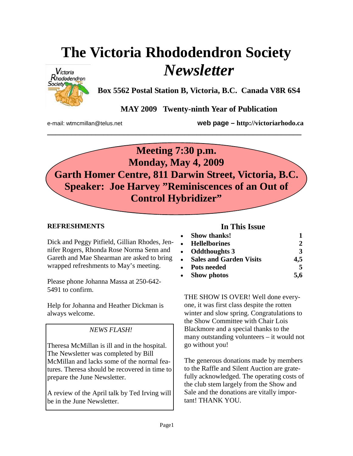# **The Victoria Rhododendron Society**  *Newsletter*



**Box 5562 Postal Station B, Victoria, B.C. Canada V8R 6S4** 

**MAY 2009 Twenty-ninth Year of Publication** 

e-mail: wtmcmillan@telus.net **web page – http://victoriarhodo.ca**



**\_\_\_\_\_\_\_\_\_\_\_\_\_\_\_\_\_\_\_\_\_\_\_\_\_\_\_\_\_\_\_\_\_\_\_\_\_\_\_\_\_\_\_\_\_\_\_\_\_\_\_\_\_\_\_\_\_\_\_\_\_\_\_** 

# **REFRESHMENTS**

Dick and Peggy Pitfield, Gillian Rhodes, Jennifer Rogers, Rhonda Rose Norma Senn and Gareth and Mae Shearman are asked to bring wrapped refreshments to May's meeting.

Please phone Johanna Massa at 250-642- 5491 to confirm.

Help for Johanna and Heather Dickman is always welcome.

# *NEWS FLASH!*

Theresa McMillan is ill and in the hospital. The Newsletter was completed by Bill McMillan and lacks some of the normal features. Theresa should be recovered in time to prepare the June Newsletter.

A review of the April talk by Ted Irving will be in the June Newsletter.

## **In This Issue**

| • Show thanks!            |     |
|---------------------------|-----|
| • Hellelborines           |     |
| • Oddthoughts 3           | 3   |
| • Sales and Garden Visits | 4,5 |
| • Pots needed             | 5   |
| • Show photos             | 5,6 |

THE SHOW IS OVER! Well done everyone, it was first class despite the rotten winter and slow spring. Congratulations to the Show Committee with Chair Lois Blackmore and a special thanks to the many outstanding volunteers – it would not go without you!

The generous donations made by members to the Raffle and Silent Auction are gratefully acknowledged. The operating costs of the club stem largely from the Show and Sale and the donations are vitally important! THANK YOU.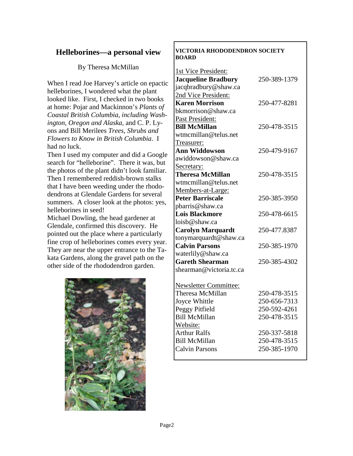# **Helleborines—a personal view**

#### By Theresa McMillan

When I read Joe Harvey's article on epactic helleborines, I wondered what the plant looked like. First, I checked in two books at home: Pojar and Mackinnon's *Plants of Coastal British Columbia*, *including Washington, Oregon and Alaska*, and C. P. Lyons and Bill Merilees *Trees, Shrubs and Flowers to Know in British Columbia*. I had no luck.

Then I used my computer and did a Google search for "helleborine". There it was, but the photos of the plant didn't look familiar. Then I remembered reddish-brown stalks that I have been weeding under the rhododendrons at Glendale Gardens for several summers. A closer look at the photos: yes, helleborines in seed!

Michael Dowling, the head gardener at Glendale, confirmed this discovery. He pointed out the place where a particularly fine crop of helleborines comes every year. They are near the upper entrance to the Takata Gardens, along the gravel path on the other side of the rhododendron garden.



#### **VICTORIA RHODODENDRON SOCIETY BOARD**

| 1st Vice President:          |              |
|------------------------------|--------------|
| <b>Jacqueline Bradbury</b>   | 250-389-1379 |
| jacqbradbury@shaw.ca         |              |
| 2nd Vice President:          |              |
| <b>Karen Morrison</b>        | 250-477-8281 |
| bkmorrison@shaw.ca           |              |
| Past President:              |              |
| <b>Bill McMillan</b>         | 250-478-3515 |
| wtmcmillan@telus.net         |              |
| Treasurer:                   |              |
| <b>Ann Widdowson</b>         | 250-479-9167 |
| awiddowson@shaw.ca           |              |
| Secretary:                   |              |
| <b>Theresa McMillan</b>      | 250-478-3515 |
| wtmcmillan@telus.net         |              |
| Members-at-Large:            |              |
| <b>Peter Barriscale</b>      | 250-385-3950 |
| pbarris@shaw.ca              |              |
| <b>Lois Blackmore</b>        | 250-478-6615 |
| loisb@shaw.ca                |              |
| <b>Carolyn Marquardt</b>     | 250-477.8387 |
| tonymarquardt@shaw.ca        |              |
| <b>Calvin Parsons</b>        | 250-385-1970 |
| waterlily@shaw.ca            |              |
| <b>Gareth Shearman</b>       | 250-385-4302 |
| shearman@victoria.tc.ca      |              |
|                              |              |
| <b>Newsletter Committee:</b> |              |
| Theresa McMillan             | 250-478-3515 |
| Joyce Whittle                | 250-656-7313 |
| Peggy Pitfield               | 250-592-4261 |
| <b>Bill McMillan</b>         | 250-478-3515 |
| Website:                     |              |
| <b>Arthur Ralfs</b>          | 250-337-5818 |
| <b>Bill McMillan</b>         | 250-478-3515 |
| <b>Calvin Parsons</b>        | 250-385-1970 |
|                              |              |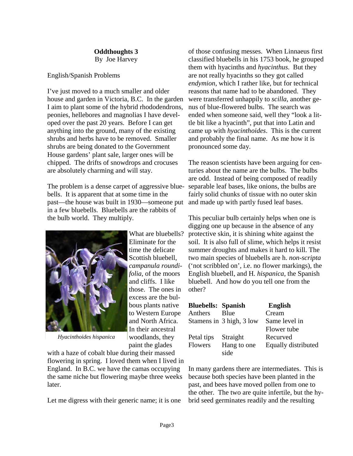**Oddthoughts 3** By Joe Harvey

#### English/Spanish Problems

I've just moved to a much smaller and older house and garden in Victoria, B.C. In the garden I aim to plant some of the hybrid rhododendrons, peonies, hellebores and magnolias I have developed over the past 20 years. Before I can get anything into the ground, many of the existing shrubs and herbs have to be removed. Smaller shrubs are being donated to the Government House gardens' plant sale, larger ones will be chipped. The drifts of snowdrops and crocuses are absolutely charming and will stay.

The problem is a dense carpet of aggressive bluebells. It is apparent that at some time in the past—the house was built in 1930—someone put in a few bluebells. Bluebells are the rabbits of the bulb world. They multiply.

What are bluebells?

*campanula roundifolia*, of the moors

woodlands, they



*Hyacinthoides hispanica* 

paint the glades with a haze of cobalt blue during their massed flowering in spring. I loved them when I lived in England. In B.C. we have the camas occupying the same niche but flowering maybe three weeks later.

Let me digress with their generic name; it is one

of those confusing messes. When Linnaeus first classified bluebells in his 1753 book, he grouped them with hyacinths and *hyacinthus*. But they are not really hyacinths so they got called *endymion*, which I rather like, but for technical reasons that name had to be abandoned. They were transferred unhappily to *scilla*, another genus of blue-flowered bulbs. The search was ended when someone said, well they "look a little bit like a hyacinth", put that into Latin and came up with *hyacinthoides*. This is the current and probably the final name. As me how it is pronounced some day.

The reason scientists have been arguing for centuries about the name are the bulbs. The bulbs are odd. Instead of being composed of readily separable leaf bases, like onions, the bulbs are fairly solid chunks of tissue with no outer skin and made up with partly fused leaf bases.

This peculiar bulb certainly helps when one is digging one up because in the absence of any protective skin, it is shining white against the soil. It is also full of slime, which helps it resist summer droughts and makes it hard to kill. The two main species of bluebells are h. *non-scripta* ('not scribbled on', i.e. no flower markings), the English bluebell, and H*. hispanica*, the Spanish bluebell. And how do you tell one from the other?

| <b>Bluebells: Spanish</b> |                          | <b>English</b>      |
|---------------------------|--------------------------|---------------------|
| Anthers                   | <b>B</b> lue             | Cream               |
|                           | Stamens in 3 high, 3 low | Same level in       |
|                           |                          | Flower tube         |
| Petal tips                | Straight                 | Recurved            |
| <b>Flowers</b>            | Hang to one              | Equally distributed |
|                           | side                     |                     |

In many gardens there are intermediates. This is because both species have been planted in the past, and bees have moved pollen from one to the other. The two are quite infertile, but the hybrid seed germinates readily and the resulting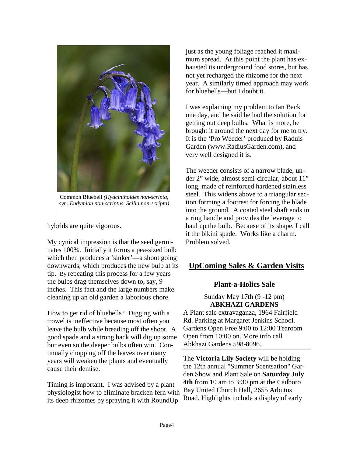

Common Bluebell *(Hyacinthoides non-scripta, syn. Endymion non-scriptus, Scilla non-scripta)* 

hybrids are quite vigorous.

My cynical impression is that the seed germinates 100%. Initially it forms a pea-sized bulb which then produces a 'sinker'—a shoot going downwards, which produces the new bulb at its tip. By repeating this process for a few years the bulbs drag themselves down to, say, 9 inches. This fact and the large numbers make cleaning up an old garden a laborious chore.

How to get rid of bluebells? Digging with a trowel is ineffective because most often you leave the bulb while breading off the shoot. A good spade and a strong back will dig up some bur even so the deeper bulbs often win. Continually chopping off the leaves over many years will weaken the plants and eventually cause their demise.

Timing is important. I was advised by a plant physiologist how to eliminate bracken fern with its deep rhizomes by spraying it with RoundUp

just as the young foliage reached it maximum spread. At this point the plant has exhausted its underground food stores, but has not yet recharged the rhizome for the next year. A similarly timed approach may work for bluebells—but I doubt it.

I was explaining my problem to Ian Back one day, and he said he had the solution for getting out deep bulbs. What is more, he brought it around the next day for me to try. It is the 'Pro Weeder' produced by Raduis Garden (www.RadiusGarden.com), and very well designed it is.

The weeder consists of a narrow blade, under 2" wide, almost semi-circular, about 11" long, made of reinforced hardened stainless steel. This widens above to a triangular section forming a footrest for forcing the blade into the ground. A coated steel shaft ends in a ring handle and provides the leverage to haul up the bulb. Because of its shape, I call it the bikini spade. Works like a charm. Problem solved.

## **UpComing Sales & Garden Visits**

#### **Plant-a-Holics Sale**

Sunday May 17th (9 -12 pm) **ABKHAZI GARDENS**

A Plant sale extravaganza, 1964 Fairfield Rd. Parking at Margaret Jenkins School. Gardens Open Free 9:00 to 12:00 Tearoom Open from 10:00 on. More info call Abkhazi Gardens 598-8096.

The **Victoria Lily Society** will be holding the 12th annual "Summer Scentsation" Garden Show and Plant Sale on **Saturday July 4th** from 10 am to 3:30 pm at the Cadboro Bay United Church Hall, 2655 Arbutus Road. Highlights include a display of early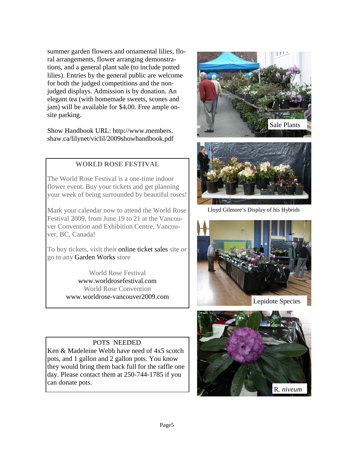summer garden flowers and ornamental lilies, floral arrangements, flower arranging demonstrations, and a general plant sale (to include potted lilies). Entries by the general public are welcome for both the judged competitions and the nonjudged displays. Admission is by donation. An elegant tea (with homemade sweets, scones and jam) will be available for \$4.00. Free ample onsite parking.

Show Handbook URL: http://www.members. shaw.ca/lilynet/viclil/2009showhandbook.pdf

## **WORLD ROSE FESTIVAL**

The World Rose Festival is a one-time indoor flower event. Buy your tickets and get planning your week of being surrounded by beautiful roses!

Mark your calendar now to attend the World Rose Festival 2009, from June 19 to 21 at the Vancouver Convention and Exhibition Centre, Vancouver, BC, Canada!

To buy tickets, visit their online ticket sales site or go to any Garden Works store

> World Rose Festival www.worldrosefestival.com World Rose Convention www.worldrose-vancouver2009.com





Lloyd Gilmore's Display of his Hybrids



#### POTS NEEDED

Ken & Madeleine Webb have need of 4x5 scotch pots, and 1 gallon and 2 gallon pots. You know they would bring them back full for the raffle one day. Please contact them at 250-744-1785 if you can donate pots.